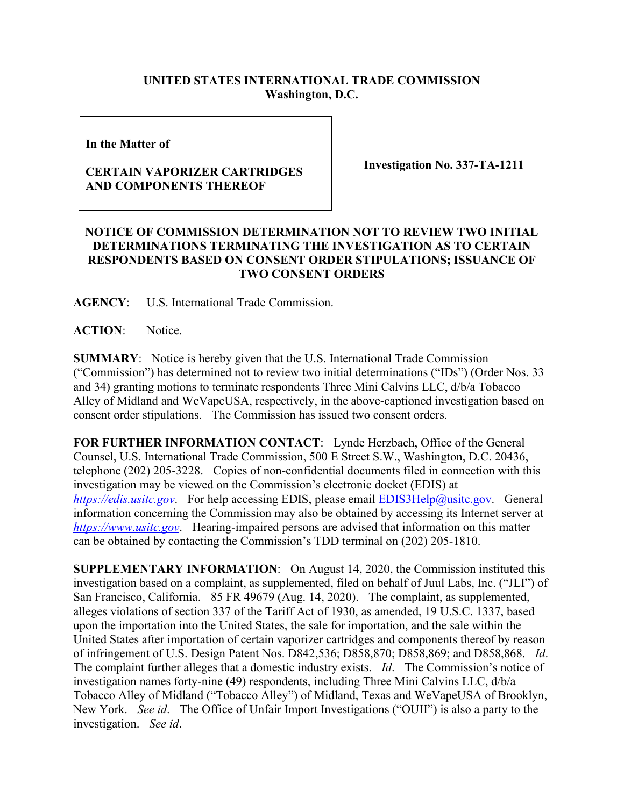## **UNITED STATES INTERNATIONAL TRADE COMMISSION Washington, D.C.**

**In the Matter of** 

## **CERTAIN VAPORIZER CARTRIDGES AND COMPONENTS THEREOF**

**Investigation No. 337-TA-1211**

## **NOTICE OF COMMISSION DETERMINATION NOT TO REVIEW TWO INITIAL DETERMINATIONS TERMINATING THE INVESTIGATION AS TO CERTAIN RESPONDENTS BASED ON CONSENT ORDER STIPULATIONS; ISSUANCE OF TWO CONSENT ORDERS**

**AGENCY**: U.S. International Trade Commission.

**ACTION**: Notice.

**SUMMARY**: Notice is hereby given that the U.S. International Trade Commission ("Commission") has determined not to review two initial determinations ("IDs") (Order Nos. 33 and 34) granting motions to terminate respondents Three Mini Calvins LLC, d/b/a Tobacco Alley of Midland and WeVapeUSA, respectively, in the above-captioned investigation based on consent order stipulations. The Commission has issued two consent orders.

**FOR FURTHER INFORMATION CONTACT**: Lynde Herzbach, Office of the General Counsel, U.S. International Trade Commission, 500 E Street S.W., Washington, D.C. 20436, telephone (202) 205-3228. Copies of non-confidential documents filed in connection with this investigation may be viewed on the Commission's electronic docket (EDIS) at *[https://edis.usitc.gov](https://edis.usitc.gov/)*. For help accessing EDIS, please email [EDIS3Help@usitc.gov.](mailto:EDIS3Help@usitc.gov) General information concerning the Commission may also be obtained by accessing its Internet server at *[https://www.usitc.gov](https://www.usitc.gov/)*. Hearing-impaired persons are advised that information on this matter can be obtained by contacting the Commission's TDD terminal on (202) 205-1810.

**SUPPLEMENTARY INFORMATION**: On August 14, 2020, the Commission instituted this investigation based on a complaint, as supplemented, filed on behalf of Juul Labs, Inc. ("JLI") of San Francisco, California. 85 FR 49679 (Aug. 14, 2020). The complaint, as supplemented, alleges violations of section 337 of the Tariff Act of 1930, as amended, 19 U.S.C. 1337, based upon the importation into the United States, the sale for importation, and the sale within the United States after importation of certain vaporizer cartridges and components thereof by reason of infringement of U.S. Design Patent Nos. D842,536; D858,870; D858,869; and D858,868. *Id*. The complaint further alleges that a domestic industry exists. *Id*. The Commission's notice of investigation names forty-nine (49) respondents, including Three Mini Calvins LLC, d/b/a Tobacco Alley of Midland ("Tobacco Alley") of Midland, Texas and WeVapeUSA of Brooklyn, New York. *See id*. The Office of Unfair Import Investigations ("OUII") is also a party to the investigation. *See id*.